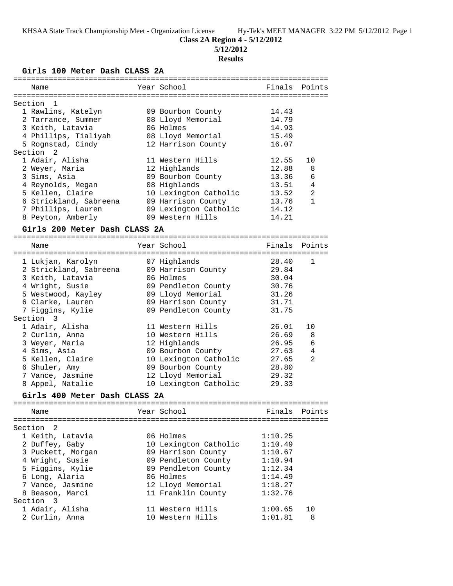# **Class 2A Region 4 - 5/12/2012**

**5/12/2012**

# **Results**

**Girls 100 Meter Dash CLASS 2A**

| ============                  |                       |         |              |
|-------------------------------|-----------------------|---------|--------------|
| Name                          | Year School           | Finals  | Points       |
|                               |                       |         |              |
| Section<br>1                  |                       |         |              |
| 1 Rawlins, Katelyn            | 09 Bourbon County     | 14.43   |              |
| 2 Tarrance, Summer            | 08 Lloyd Memorial     | 14.79   |              |
| 3 Keith, Latavia              | 06 Holmes             | 14.93   |              |
| 4 Phillips, Tialiyah          | 08 Lloyd Memorial     | 15.49   |              |
| 5 Rognstad, Cindy             | 12 Harrison County    | 16.07   |              |
| Section <sub>2</sub>          |                       |         |              |
| 1 Adair, Alisha               | 11 Western Hills      | 12.55   | 10           |
| 2 Weyer, Maria                | 12 Highlands          | 12.88   | 8            |
| 3 Sims, Asia                  | 09 Bourbon County     | 13.36   | 6            |
| 4 Reynolds, Megan             | 08 Highlands          | 13.51   | 4            |
| 5 Kellen, Claire              | 10 Lexington Catholic | 13.52   | 2            |
| 6 Strickland, Sabreena        | 09 Harrison County    | 13.76   | $\mathbf{1}$ |
| 7 Phillips, Lauren            | 09 Lexington Catholic | 14.12   |              |
| 8 Peyton, Amberly             | 09 Western Hills      | 14.21   |              |
|                               |                       |         |              |
| Girls 200 Meter Dash CLASS 2A |                       |         |              |
| Name                          | Year School           | Finals  | Points       |
|                               |                       |         |              |
| 1 Lukjan, Karolyn             | 07 Highlands          | 28.40   | 1            |
| 2 Strickland, Sabreena        | 09 Harrison County    | 29.84   |              |
| 3 Keith, Latavia              | 06 Holmes             | 30.04   |              |
| 4 Wright, Susie               | 09 Pendleton County   | 30.76   |              |
| 5 Westwood, Kayley            | 09 Lloyd Memorial     | 31.26   |              |
| 6 Clarke, Lauren              | 09 Harrison County    | 31.71   |              |
|                               |                       | 31.75   |              |
| 7 Figgins, Kylie<br>Section 3 | 09 Pendleton County   |         |              |
|                               |                       |         |              |
| 1 Adair, Alisha               | 11 Western Hills      | 26.01   | 10           |
| 2 Curlin, Anna                | 10 Western Hills      | 26.69   | 8            |
| 3 Weyer, Maria                | 12 Highlands          | 26.95   | 6            |
| 4 Sims, Asia                  | 09 Bourbon County     | 27.63   | 4            |
| 5 Kellen, Claire              | 10 Lexington Catholic | 27.65   | 2            |
| 6 Shuler, Amy                 | 09 Bourbon County     | 28.80   |              |
| 7 Vance, Jasmine              | 12 Lloyd Memorial     | 29.32   |              |
| 8 Appel, Natalie              | 10 Lexington Catholic | 29.33   |              |
| Girls 400 Meter Dash CLASS 2A |                       |         |              |
|                               |                       |         |              |
| Name                          | Year School           | Finals  | Points       |
|                               |                       |         |              |
| Section<br>2                  |                       |         |              |
| 1 Keith, Latavia              | 06 Holmes             | 1:10.25 |              |
| 2 Duffey, Gaby                | 10 Lexington Catholic | 1:10.49 |              |
| 3 Puckett, Morgan             | 09 Harrison County    | 1:10.67 |              |
| 4 Wright, Susie               | 09 Pendleton County   | 1:10.94 |              |
| 5 Figgins, Kylie              | 09 Pendleton County   | 1:12.34 |              |
| 6 Long, Alaria                | 06 Holmes             | 1:14.49 |              |
| 7 Vance, Jasmine              | 12 Lloyd Memorial     | 1:18.27 |              |
| 8 Beason, Marci               | 11 Franklin County    | 1:32.76 |              |
| Section 3                     |                       |         |              |
| 1 Adair, Alisha               | 11 Western Hills      | 1:00.65 | 10           |
| 2 Curlin, Anna                | 10 Western Hills      | 1:01.81 | 8            |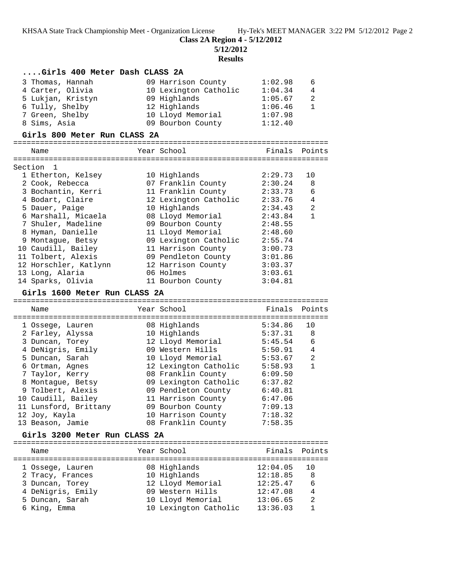**Class 2A Region 4 - 5/12/2012**

**5/12/2012**

**Results**

| Girls 400 Meter Dash CLASS 2A        |                       |          |                |
|--------------------------------------|-----------------------|----------|----------------|
| 3 Thomas, Hannah                     | 09 Harrison County    | 1:02.98  | 6              |
| 4 Carter, Olivia                     | 10 Lexington Catholic | 1:04.34  | 4              |
| 5 Lukjan, Kristyn                    | 09 Highlands          | 1:05.67  | 2              |
| 6 Tully, Shelby                      | 12 Highlands          | 1:06.46  | $\mathbf{1}$   |
| 7 Green, Shelby                      | 10 Lloyd Memorial     | 1:07.98  |                |
| 8 Sims, Asia                         | 09 Bourbon County     | 1:12.40  |                |
| Girls 800 Meter Run CLASS 2A         |                       |          |                |
| Name                                 | Year School           | Finals   | Points         |
| Section<br>1                         |                       |          |                |
| 1 Etherton, Kelsey                   | 10 Highlands          | 2:29.73  | 10             |
| 2 Cook, Rebecca                      | 07 Franklin County    | 2:30.24  | 8              |
| 3 Bochantin, Kerri                   | 11 Franklin County    | 2:33.73  | 6              |
| 4 Bodart, Claire                     | 12 Lexington Catholic | 2:33.76  | $\overline{4}$ |
| 5 Dauer, Paige                       | 10 Highlands          | 2:34.43  | 2              |
| 6 Marshall, Micaela                  | 08 Lloyd Memorial     | 2:43.84  | $\mathbf{1}$   |
| 7 Shuler, Madeline                   | 09 Bourbon County     | 2:48.55  |                |
| 8 Hyman, Danielle                    | 11 Lloyd Memorial     | 2:48.60  |                |
| 9 Montague, Betsy                    | 09 Lexington Catholic | 2:55.74  |                |
| 10 Caudill, Bailey                   | 11 Harrison County    | 3:00.73  |                |
| 11 Tolbert, Alexis                   | 09 Pendleton County   | 3:01.86  |                |
| 12 Horschler, Katlynn                | 12 Harrison County    | 3:03.37  |                |
| 13 Long, Alaria                      | 06 Holmes             | 3:03.61  |                |
| 14 Sparks, Olivia                    | 11 Bourbon County     | 3:04.81  |                |
| Girls 1600 Meter Run CLASS 2A        |                       |          |                |
|                                      |                       |          |                |
|                                      |                       |          |                |
| Name                                 | Year School           | Finals   | Points         |
| 1 Ossege, Lauren                     | 08 Highlands          | 5:34.86  | 10             |
| 2 Farley, Alyssa                     | 10 Highlands          | 5:37.31  | 8              |
| 3 Duncan, Torey                      | 12 Lloyd Memorial     | 5:45.54  | 6              |
| 4 DeNigris, Emily                    | 09 Western Hills      | 5:50.91  | 4              |
| 5 Duncan, Sarah                      | 10 Lloyd Memorial     | 5:53.67  | 2              |
| 6 Ortman, Agnes                      | 12 Lexington Catholic | 5:58.93  | $\mathbf{1}$   |
| 7 Taylor, Kerry                      | 08 Franklin County    | 6:09.50  |                |
| 8 Montague, Betsy                    | 09 Lexington Catholic | 6:37.82  |                |
| 9 Tolbert, Alexis                    | 09 Pendleton County   | 6:40.81  |                |
| 10 Caudill, Bailey                   | 11 Harrison County    | 6:47.06  |                |
| 11 Lunsford, Brittany                | 09 Bourbon County     | 7:09.13  |                |
| 12 Joy, Kayla                        | 10 Harrison County    | 7:18.32  |                |
| 13 Beason, Jamie                     | 08 Franklin County    | 7:58.35  |                |
| Girls 3200 Meter Run CLASS 2A        |                       |          |                |
| Name                                 | Year School           | Finals   | Points         |
|                                      | 08 Highlands          | 12:04.05 | 10             |
| 1 Ossege, Lauren<br>2 Tracy, Frances | 10 Highlands          | 12:18.85 | 8              |
| 3 Duncan, Torey                      | 12 Lloyd Memorial     | 12:25.47 | 6              |
| 4 DeNigris, Emily                    | 09 Western Hills      | 12:47.08 | 4              |
| 5 Duncan, Sarah                      | 10 Lloyd Memorial     | 13:06.65 | 2              |
| 6 King, Emma                         | 10 Lexington Catholic | 13:36.03 | 1              |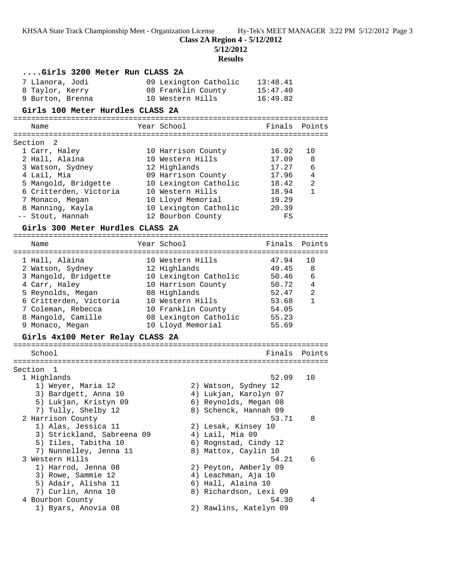**Class 2A Region 4 - 5/12/2012**

**5/12/2012**

**Results**

|                                  | results                                |                |                |
|----------------------------------|----------------------------------------|----------------|----------------|
| Girls 3200 Meter Run CLASS 2A    |                                        |                |                |
| 7 Llanora, Jodi                  | 09 Lexington Catholic                  | 13:48.41       |                |
| 8 Taylor, Kerry                  | 08 Franklin County                     | 15:47.40       |                |
| 9 Burton, Brenna                 | 10 Western Hills                       | 16:49.82       |                |
| Girls 100 Meter Hurdles CLASS 2A |                                        |                |                |
| Name                             | Year School                            | Finals         | Points         |
|                                  |                                        |                |                |
| Section<br>2                     |                                        |                |                |
| 1 Carr, Haley<br>2 Hall, Alaina  | 10 Harrison County<br>10 Western Hills | 16.92<br>17.09 | 10<br>8        |
| 3 Watson, Sydney                 | 12 Highlands                           | 17.27          | 6              |
| 4 Lail, Mia                      | 09 Harrison County                     | 17.96          | $\overline{4}$ |
| 5 Mangold, Bridgette             | 10 Lexington Catholic                  | 18.42          | 2              |
| 6 Critterden, Victoria           | 10 Western Hills                       | 18.94          | $\mathbf{1}$   |
| 7 Monaco, Megan                  | 10 Lloyd Memorial                      | 19.29          |                |
| 8 Manning, Kayla                 | 10 Lexington Catholic                  | 20.39          |                |
| -- Stout, Hannah                 | 12 Bourbon County                      | FS             |                |
| Girls 300 Meter Hurdles CLASS 2A |                                        |                |                |
|                                  | Year School                            | Finals         | Points         |
| Name                             |                                        |                |                |
| 1 Hall, Alaina                   | 10 Western Hills                       | 47.94          | 10             |
| 2 Watson, Sydney                 | 12 Highlands                           | 49.45          | 8              |
| 3 Mangold, Bridgette             | 10 Lexington Catholic                  | 50.46          | 6              |
| 4 Carr, Haley                    | 10 Harrison County                     | 50.72          | $\overline{4}$ |
| 5 Reynolds, Megan                | 08 Highlands                           | 52.47          | 2              |
| 6 Critterden, Victoria           | 10 Western Hills                       | 53.68          | $\mathbf{1}$   |
| 7 Coleman, Rebecca               | 10 Franklin County                     | 54.05          |                |
| 8 Mangold, Camille               | 08 Lexington Catholic                  | 55.23          |                |
| 9 Monaco, Megan                  | 10 Lloyd Memorial                      | 55.69          |                |
| Girls 4x100 Meter Relay CLASS 2A |                                        |                |                |
| School                           |                                        | Finals         | Points         |
|                                  |                                        |                |                |
| Section 1<br>1 Highlands         |                                        | 52.09          | 10             |
| 1) Weyer, Maria 12               | 2) Watson, Sydney 12                   |                |                |
| 3) Bardgett, Anna 10             | 4) Lukjan, Karolyn 07                  |                |                |
| 5) Lukjan, Kristyn 09            | 6) Reynolds, Megan 08                  |                |                |
| 7) Tully, Shelby 12              | 8) Schenck, Hannah 09                  |                |                |
| 2 Harrison County                |                                        | 53.71          | 8              |
| 1) Alas, Jessica 11              | 2) Lesak, Kinsey 10                    |                |                |
| 3) Strickland, Sabreena 09       | 4) Lail, Mia 09                        |                |                |
| 5) Iiles, Tabitha 10             | 6) Rognstad, Cindy 12                  |                |                |
| 7) Nunnelley, Jenna 11           | 8) Mattox, Caylin 10                   |                |                |
| 3 Western Hills                  |                                        | 54.21          | 6              |
| 1) Harrod, Jenna 08              | 2) Peyton, Amberly 09                  |                |                |
| 3) Rowe, Sammie 12               | 4) Leachman, Aja 10                    |                |                |
| 5) Adair, Alisha 11              | 6) Hall, Alaina 10                     |                |                |
| 7) Curlin, Anna 10               | 8) Richardson, Lexi 09                 |                |                |
| 4 Bourbon County                 |                                        | 54.30          | 4              |
| 1) Byars, Anovia 08              | 2) Rawlins, Katelyn 09                 |                |                |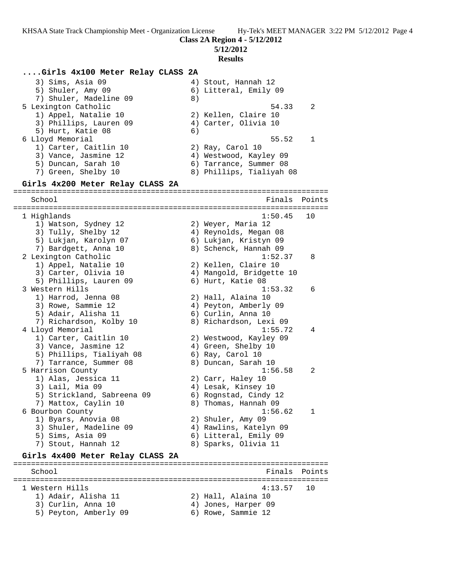**Class 2A Region 4 - 5/12/2012**

**5/12/2012**

#### **Results**

### **....Girls 4x100 Meter Relay CLASS 2A** 3) Sims, Asia 09  $\begin{array}{ccc} 4 & 4 & 5 \end{array}$  Stout, Hannah 12 5) Shuler, Amy 09 6) Litteral, Emily 09 7) Shuler, Madeline 09 8) 5 Lexington Catholic 54.33 2 1) Appel, Natalie 10 2) Kellen, Claire 10 3) Phillips, Lauren 09 (4) Carter, Olivia 10 5) Hurt, Katie 08 (6) 6 Lloyd Memorial 55.52 1 1) Carter, Caitlin 10 2) Ray, Carol 10 3) Vance, Jasmine 12 4) Westwood, Kayley 09 5) Duncan, Sarah 10 6) Tarrance, Summer 08 7) Green, Shelby 10 8) Phillips, Tialiyah 08 **Girls 4x200 Meter Relay CLASS 2A** ======================================================================= School **Finals** Points ======================================================================= 1 Highlands 1:50.45 10 1) Watson, Sydney 12 2) Weyer, Maria 12 3) Tully, Shelby 12  $\hskip1cm$  4) Reynolds, Megan 08 5) Lukjan, Karolyn 07 6) Lukjan, Kristyn 09 7) Bardgett, Anna 10 8) Schenck, Hannah 09 2 Lexington Catholic 1:52.37 8 1) Appel, Natalie 10 2) Kellen, Claire 10 3) Carter, Olivia 10 4) Mangold, Bridgette 10 5) Phillips, Lauren 09 6) Hurt, Katie 08 3 Western Hills 1:53.32 6 1) Harrod, Jenna 08 2) Hall, Alaina 10 3) Rowe, Sammie 12 4) Peyton, Amberly 09 5) Adair, Alisha 11 6) Curlin, Anna 10 7) Richardson, Kolby 10 8) Richardson, Lexi 09 4 Lloyd Memorial 1:55.72 4 1) Carter, Caitlin 10 2) Westwood, Kayley 09 3) Vance, Jasmine 12 (4) Green, Shelby 10 5) Phillips, Tialiyah 08 6) Ray, Carol 10 7) Tarrance, Summer 08 8) Duncan, Sarah 10 5 Harrison County 1:56.58 2 1) Alas, Jessica 11 2) Carr, Haley 10 3) Lail, Mia 09 (4) Lesak, Kinsey 10 5) Strickland, Sabreena 09 6) Rognstad, Cindy 12 7) Mattox, Caylin 10 8) Thomas, Hannah 09 6 Bourbon County 1:56.62 1 1) Byars, Anovia 08 2) Shuler, Amy 09 3) Shuler, Madeline 09 4) Rawlins, Katelyn 09 5) Sims, Asia 09 6) Litteral, Emily 09 7) Stout, Hannah 12 (8) Sparks, Olivia 11 **Girls 4x400 Meter Relay CLASS 2A** ======================================================================= School **Finals Points** ======================================================================= 1 Western Hills 4:13.57 10 1) Adair, Alisha 11 2) Hall, Alaina 10 3) Curlin, Anna 10 (4) Jones, Harper 09 5) Peyton, Amberly 09 6) Rowe, Sammie 12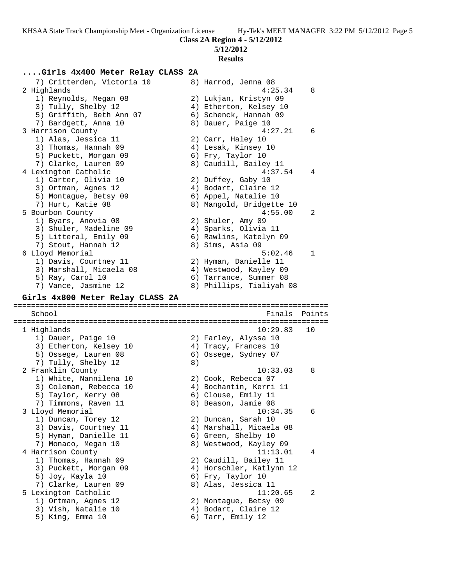# **5/12/2012**

## **Results**

# **....Girls 4x400 Meter Relay CLASS 2A**

| 7) Critterden, Victoria 10       |    | 8) Harrod, Jenna 08      |              |
|----------------------------------|----|--------------------------|--------------|
| 2 Highlands                      |    | 4:25.34                  | 8            |
| 1) Reynolds, Megan 08            |    | 2) Lukjan, Kristyn 09    |              |
| 3) Tully, Shelby 12              |    | 4) Etherton, Kelsey 10   |              |
| 5) Griffith, Beth Ann 07         |    | 6) Schenck, Hannah 09    |              |
| 7) Bardgett, Anna 10             |    | 8) Dauer, Paige 10       |              |
| 3 Harrison County                |    | 4:27.21                  | 6            |
| 1) Alas, Jessica 11              |    | 2) Carr, Haley 10        |              |
| 3) Thomas, Hannah 09             |    | 4) Lesak, Kinsey 10      |              |
| 5) Puckett, Morgan 09            |    | 6) Fry, Taylor 10        |              |
| 7) Clarke, Lauren 09             |    | 8) Caudill, Bailey 11    |              |
| 4 Lexington Catholic             |    | 4:37.54                  | 4            |
| 1) Carter, Olivia 10             |    | 2) Duffey, Gaby 10       |              |
| 3) Ortman, Agnes 12              |    | 4) Bodart, Claire 12     |              |
| 5) Montague, Betsy 09            |    | 6) Appel, Natalie 10     |              |
| 7) Hurt, Katie 08                |    | 8) Mangold, Bridgette 10 |              |
| 5 Bourbon County                 |    | 4:55.00                  | 2            |
| 1) Byars, Anovia 08              |    | 2) Shuler, Amy 09        |              |
| 3) Shuler, Madeline 09           |    | 4) Sparks, Olivia 11     |              |
| 5) Litteral, Emily 09            |    | 6) Rawlins, Katelyn 09   |              |
| 7) Stout, Hannah 12              |    | 8) Sims, Asia 09         |              |
| 6 Lloyd Memorial                 |    | 5:02.46                  | $\mathbf{1}$ |
| 1) Davis, Courtney 11            |    | 2) Hyman, Danielle 11    |              |
| 3) Marshall, Micaela 08          |    | 4) Westwood, Kayley 09   |              |
| 5) Ray, Carol 10                 |    | 6) Tarrance, Summer 08   |              |
| 7) Vance, Jasmine 12             |    | 8) Phillips, Tialiyah 08 |              |
| Girls 4x800 Meter Relay CLASS 2A |    |                          |              |
|                                  |    |                          |              |
|                                  |    |                          |              |
| School                           |    | Finals                   | Points       |
| 1 Highlands                      |    | 10:29.83                 | 10           |
| 1) Dauer, Paige 10               |    | 2) Farley, Alyssa 10     |              |
| 3) Etherton, Kelsey 10           |    | 4) Tracy, Frances 10     |              |
| 5) Ossege, Lauren 08             |    | 6) Ossege, Sydney 07     |              |
| 7) Tully, Shelby 12              | 8) |                          |              |
| 2 Franklin County                |    | 10:33.03                 | 8            |
| 1) White, Nannilena 10           |    | 2) Cook, Rebecca 07      |              |
| 3) Coleman, Rebecca 10           |    | 4) Bochantin, Kerri 11   |              |
| 5) Taylor, Kerry 08              |    | 6) Clouse, Emily 11      |              |
| 7) Timmons, Raven 11             |    | 8) Beason, Jamie 08      |              |
| 3 Lloyd Memorial                 |    | 10:34.35                 | 6            |
| 1) Duncan, Torey 12              |    | 2) Duncan, Sarah 10      |              |
| 3) Davis, Courtney 11            |    | 4) Marshall, Micaela 08  |              |
| 5) Hyman, Danielle 11            |    | 6) Green, Shelby 10      |              |
| 7) Monaco, Megan 10              |    | 8) Westwood, Kayley 09   |              |
| 4 Harrison County                |    | 11:13.01                 | 4            |
| 1) Thomas, Hannah 09             |    | 2) Caudill, Bailey 11    |              |
| 3) Puckett, Morgan 09            |    | 4) Horschler, Katlynn 12 |              |
| 5) Joy, Kayla 10                 |    | 6) Fry, Taylor 10        |              |
| 7) Clarke, Lauren 09             |    | 8) Alas, Jessica 11      |              |
| 5 Lexington Catholic             |    | 11:20.65                 | 2            |
| 1) Ortman, Agnes 12              |    | 2) Montague, Betsy 09    |              |
| 3) Vish, Natalie 10              |    | 4) Bodart, Claire 12     |              |
| 5) King, Emma 10                 |    | 6) Tarr, Emily 12        |              |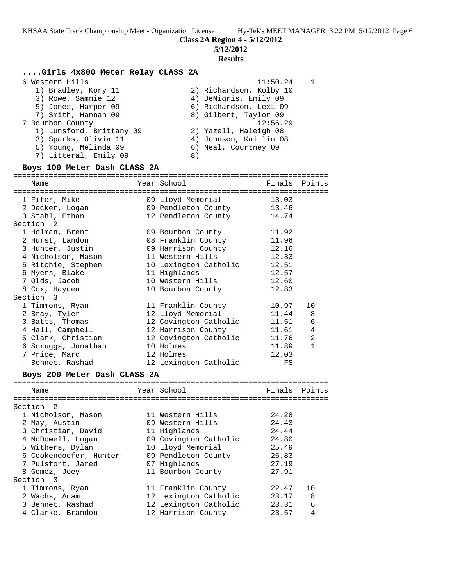**5/12/2012**

### **Results**

# **....Girls 4x800 Meter Relay CLASS 2A**

| 6 Western Hills          | 11:50.24                |
|--------------------------|-------------------------|
| 1) Bradley, Kory 11      | 2) Richardson, Kolby 10 |
| 3) Rowe, Sammie 12       | 4) DeNigris, Emily 09   |
| 5) Jones, Harper 09      | 6) Richardson, Lexi 09  |
| 7) Smith, Hannah 09      | 8) Gilbert, Taylor 09   |
| 7 Bourbon County         | 12:56.29                |
| 1) Lunsford, Brittany 09 | 2) Yazell, Haleigh 08   |
| 3) Sparks, Olivia 11     | 4) Johnson, Kaitlin 08  |
| 5) Young, Melinda 09     | 6) Neal, Courtney 09    |
| 7) Litteral, Emily 09    | 8)                      |
|                          |                         |

## **Boys 100 Meter Dash CLASS 2A**

| Year School<br>Finals<br>Points<br>Name<br>1 Fifer, Mike<br>09 Lloyd Memorial<br>13.03<br>13.46<br>2 Decker, Logan<br>09 Pendleton County<br>12 Pendleton County<br>3 Stahl, Ethan<br>14.74<br>Section <sub>2</sub><br>1 Holman, Brent<br>09 Bourbon County<br>11.92<br>2 Hurst, Landon<br>08 Franklin County<br>11.96<br>09 Harrison County<br>3 Hunter, Justin<br>12.16<br>4 Nicholson, Mason<br>11 Western Hills<br>12.33<br>10 Lexington Catholic<br>12.51<br>5 Ritchie, Stephen<br>6 Myers, Blake<br>11 Highlands<br>12.57<br>7 Olds, Jacob<br>10 Western Hills<br>12.60<br>8 Cox, Hayden<br>10 Bourbon County<br>12.83<br>Section<br>3<br>1 Timmons, Ryan<br>11 Franklin County<br>10.97<br>10<br>2 Bray, Tyler<br>12 Lloyd Memorial<br>11.44<br>8<br>3 Batts, Thomas<br>12 Covington Catholic<br>11.51<br>6<br>4 Hall, Campbell<br>12 Harrison County<br>4<br>11.61<br>2<br>5 Clark, Christian<br>12 Covington Catholic<br>11.76<br>11.89<br>$\mathbf{1}$<br>6 Scruggs, Jonathan<br>10 Holmes<br>7 Price, Marc<br>12 Holmes<br>12.03<br>12 Lexington Catholic<br>-- Bennet, Rashad<br>FS<br>Boys 200 Meter Dash CLASS 2A<br>Year School<br>Finals<br>Points<br>Name<br>Section 2<br>1 Nicholson, Mason<br>24.28<br>11 Western Hills<br>24.43<br>2 May, Austin<br>09 Western Hills<br>3 Christian, David<br>11 Highlands<br>24.44<br>09 Covington Catholic<br>4 McDowell, Logan<br>24.80<br>5 Withers, Dylan<br>10 Lloyd Memorial<br>25.49<br>6 Cookendoefer, Hunter<br>09 Pendleton County<br>26.83<br>7 Pulsfort, Jared<br>07 Highlands<br>27.19<br>11 Bourbon County<br>27.91<br>8 Gomez, Joey<br>Section 3<br>1 Timmons, Ryan<br>10<br>11 Franklin County<br>22.47<br>2 Wachs, Adam<br>12 Lexington Catholic<br>23.17<br>8<br>12 Lexington Catholic<br>3 Bennet, Rashad<br>23.31<br>6 |                   |  |                    |       |   |
|-------------------------------------------------------------------------------------------------------------------------------------------------------------------------------------------------------------------------------------------------------------------------------------------------------------------------------------------------------------------------------------------------------------------------------------------------------------------------------------------------------------------------------------------------------------------------------------------------------------------------------------------------------------------------------------------------------------------------------------------------------------------------------------------------------------------------------------------------------------------------------------------------------------------------------------------------------------------------------------------------------------------------------------------------------------------------------------------------------------------------------------------------------------------------------------------------------------------------------------------------------------------------------------------------------------------------------------------------------------------------------------------------------------------------------------------------------------------------------------------------------------------------------------------------------------------------------------------------------------------------------------------------------------------------------------------------------------------------------------------------------------------------------------------------|-------------------|--|--------------------|-------|---|
|                                                                                                                                                                                                                                                                                                                                                                                                                                                                                                                                                                                                                                                                                                                                                                                                                                                                                                                                                                                                                                                                                                                                                                                                                                                                                                                                                                                                                                                                                                                                                                                                                                                                                                                                                                                                 |                   |  |                    |       |   |
|                                                                                                                                                                                                                                                                                                                                                                                                                                                                                                                                                                                                                                                                                                                                                                                                                                                                                                                                                                                                                                                                                                                                                                                                                                                                                                                                                                                                                                                                                                                                                                                                                                                                                                                                                                                                 |                   |  |                    |       |   |
|                                                                                                                                                                                                                                                                                                                                                                                                                                                                                                                                                                                                                                                                                                                                                                                                                                                                                                                                                                                                                                                                                                                                                                                                                                                                                                                                                                                                                                                                                                                                                                                                                                                                                                                                                                                                 |                   |  |                    |       |   |
|                                                                                                                                                                                                                                                                                                                                                                                                                                                                                                                                                                                                                                                                                                                                                                                                                                                                                                                                                                                                                                                                                                                                                                                                                                                                                                                                                                                                                                                                                                                                                                                                                                                                                                                                                                                                 |                   |  |                    |       |   |
|                                                                                                                                                                                                                                                                                                                                                                                                                                                                                                                                                                                                                                                                                                                                                                                                                                                                                                                                                                                                                                                                                                                                                                                                                                                                                                                                                                                                                                                                                                                                                                                                                                                                                                                                                                                                 |                   |  |                    |       |   |
|                                                                                                                                                                                                                                                                                                                                                                                                                                                                                                                                                                                                                                                                                                                                                                                                                                                                                                                                                                                                                                                                                                                                                                                                                                                                                                                                                                                                                                                                                                                                                                                                                                                                                                                                                                                                 |                   |  |                    |       |   |
|                                                                                                                                                                                                                                                                                                                                                                                                                                                                                                                                                                                                                                                                                                                                                                                                                                                                                                                                                                                                                                                                                                                                                                                                                                                                                                                                                                                                                                                                                                                                                                                                                                                                                                                                                                                                 |                   |  |                    |       |   |
|                                                                                                                                                                                                                                                                                                                                                                                                                                                                                                                                                                                                                                                                                                                                                                                                                                                                                                                                                                                                                                                                                                                                                                                                                                                                                                                                                                                                                                                                                                                                                                                                                                                                                                                                                                                                 |                   |  |                    |       |   |
|                                                                                                                                                                                                                                                                                                                                                                                                                                                                                                                                                                                                                                                                                                                                                                                                                                                                                                                                                                                                                                                                                                                                                                                                                                                                                                                                                                                                                                                                                                                                                                                                                                                                                                                                                                                                 |                   |  |                    |       |   |
|                                                                                                                                                                                                                                                                                                                                                                                                                                                                                                                                                                                                                                                                                                                                                                                                                                                                                                                                                                                                                                                                                                                                                                                                                                                                                                                                                                                                                                                                                                                                                                                                                                                                                                                                                                                                 |                   |  |                    |       |   |
|                                                                                                                                                                                                                                                                                                                                                                                                                                                                                                                                                                                                                                                                                                                                                                                                                                                                                                                                                                                                                                                                                                                                                                                                                                                                                                                                                                                                                                                                                                                                                                                                                                                                                                                                                                                                 |                   |  |                    |       |   |
|                                                                                                                                                                                                                                                                                                                                                                                                                                                                                                                                                                                                                                                                                                                                                                                                                                                                                                                                                                                                                                                                                                                                                                                                                                                                                                                                                                                                                                                                                                                                                                                                                                                                                                                                                                                                 |                   |  |                    |       |   |
|                                                                                                                                                                                                                                                                                                                                                                                                                                                                                                                                                                                                                                                                                                                                                                                                                                                                                                                                                                                                                                                                                                                                                                                                                                                                                                                                                                                                                                                                                                                                                                                                                                                                                                                                                                                                 |                   |  |                    |       |   |
|                                                                                                                                                                                                                                                                                                                                                                                                                                                                                                                                                                                                                                                                                                                                                                                                                                                                                                                                                                                                                                                                                                                                                                                                                                                                                                                                                                                                                                                                                                                                                                                                                                                                                                                                                                                                 |                   |  |                    |       |   |
|                                                                                                                                                                                                                                                                                                                                                                                                                                                                                                                                                                                                                                                                                                                                                                                                                                                                                                                                                                                                                                                                                                                                                                                                                                                                                                                                                                                                                                                                                                                                                                                                                                                                                                                                                                                                 |                   |  |                    |       |   |
|                                                                                                                                                                                                                                                                                                                                                                                                                                                                                                                                                                                                                                                                                                                                                                                                                                                                                                                                                                                                                                                                                                                                                                                                                                                                                                                                                                                                                                                                                                                                                                                                                                                                                                                                                                                                 |                   |  |                    |       |   |
|                                                                                                                                                                                                                                                                                                                                                                                                                                                                                                                                                                                                                                                                                                                                                                                                                                                                                                                                                                                                                                                                                                                                                                                                                                                                                                                                                                                                                                                                                                                                                                                                                                                                                                                                                                                                 |                   |  |                    |       |   |
|                                                                                                                                                                                                                                                                                                                                                                                                                                                                                                                                                                                                                                                                                                                                                                                                                                                                                                                                                                                                                                                                                                                                                                                                                                                                                                                                                                                                                                                                                                                                                                                                                                                                                                                                                                                                 |                   |  |                    |       |   |
|                                                                                                                                                                                                                                                                                                                                                                                                                                                                                                                                                                                                                                                                                                                                                                                                                                                                                                                                                                                                                                                                                                                                                                                                                                                                                                                                                                                                                                                                                                                                                                                                                                                                                                                                                                                                 |                   |  |                    |       |   |
|                                                                                                                                                                                                                                                                                                                                                                                                                                                                                                                                                                                                                                                                                                                                                                                                                                                                                                                                                                                                                                                                                                                                                                                                                                                                                                                                                                                                                                                                                                                                                                                                                                                                                                                                                                                                 |                   |  |                    |       |   |
|                                                                                                                                                                                                                                                                                                                                                                                                                                                                                                                                                                                                                                                                                                                                                                                                                                                                                                                                                                                                                                                                                                                                                                                                                                                                                                                                                                                                                                                                                                                                                                                                                                                                                                                                                                                                 |                   |  |                    |       |   |
|                                                                                                                                                                                                                                                                                                                                                                                                                                                                                                                                                                                                                                                                                                                                                                                                                                                                                                                                                                                                                                                                                                                                                                                                                                                                                                                                                                                                                                                                                                                                                                                                                                                                                                                                                                                                 |                   |  |                    |       |   |
|                                                                                                                                                                                                                                                                                                                                                                                                                                                                                                                                                                                                                                                                                                                                                                                                                                                                                                                                                                                                                                                                                                                                                                                                                                                                                                                                                                                                                                                                                                                                                                                                                                                                                                                                                                                                 |                   |  |                    |       |   |
|                                                                                                                                                                                                                                                                                                                                                                                                                                                                                                                                                                                                                                                                                                                                                                                                                                                                                                                                                                                                                                                                                                                                                                                                                                                                                                                                                                                                                                                                                                                                                                                                                                                                                                                                                                                                 |                   |  |                    |       |   |
|                                                                                                                                                                                                                                                                                                                                                                                                                                                                                                                                                                                                                                                                                                                                                                                                                                                                                                                                                                                                                                                                                                                                                                                                                                                                                                                                                                                                                                                                                                                                                                                                                                                                                                                                                                                                 |                   |  |                    |       |   |
|                                                                                                                                                                                                                                                                                                                                                                                                                                                                                                                                                                                                                                                                                                                                                                                                                                                                                                                                                                                                                                                                                                                                                                                                                                                                                                                                                                                                                                                                                                                                                                                                                                                                                                                                                                                                 |                   |  |                    |       |   |
|                                                                                                                                                                                                                                                                                                                                                                                                                                                                                                                                                                                                                                                                                                                                                                                                                                                                                                                                                                                                                                                                                                                                                                                                                                                                                                                                                                                                                                                                                                                                                                                                                                                                                                                                                                                                 |                   |  |                    |       |   |
|                                                                                                                                                                                                                                                                                                                                                                                                                                                                                                                                                                                                                                                                                                                                                                                                                                                                                                                                                                                                                                                                                                                                                                                                                                                                                                                                                                                                                                                                                                                                                                                                                                                                                                                                                                                                 |                   |  |                    |       |   |
|                                                                                                                                                                                                                                                                                                                                                                                                                                                                                                                                                                                                                                                                                                                                                                                                                                                                                                                                                                                                                                                                                                                                                                                                                                                                                                                                                                                                                                                                                                                                                                                                                                                                                                                                                                                                 |                   |  |                    |       |   |
|                                                                                                                                                                                                                                                                                                                                                                                                                                                                                                                                                                                                                                                                                                                                                                                                                                                                                                                                                                                                                                                                                                                                                                                                                                                                                                                                                                                                                                                                                                                                                                                                                                                                                                                                                                                                 |                   |  |                    |       |   |
|                                                                                                                                                                                                                                                                                                                                                                                                                                                                                                                                                                                                                                                                                                                                                                                                                                                                                                                                                                                                                                                                                                                                                                                                                                                                                                                                                                                                                                                                                                                                                                                                                                                                                                                                                                                                 |                   |  |                    |       |   |
|                                                                                                                                                                                                                                                                                                                                                                                                                                                                                                                                                                                                                                                                                                                                                                                                                                                                                                                                                                                                                                                                                                                                                                                                                                                                                                                                                                                                                                                                                                                                                                                                                                                                                                                                                                                                 |                   |  |                    |       |   |
|                                                                                                                                                                                                                                                                                                                                                                                                                                                                                                                                                                                                                                                                                                                                                                                                                                                                                                                                                                                                                                                                                                                                                                                                                                                                                                                                                                                                                                                                                                                                                                                                                                                                                                                                                                                                 |                   |  |                    |       |   |
|                                                                                                                                                                                                                                                                                                                                                                                                                                                                                                                                                                                                                                                                                                                                                                                                                                                                                                                                                                                                                                                                                                                                                                                                                                                                                                                                                                                                                                                                                                                                                                                                                                                                                                                                                                                                 |                   |  |                    |       |   |
|                                                                                                                                                                                                                                                                                                                                                                                                                                                                                                                                                                                                                                                                                                                                                                                                                                                                                                                                                                                                                                                                                                                                                                                                                                                                                                                                                                                                                                                                                                                                                                                                                                                                                                                                                                                                 |                   |  |                    |       |   |
|                                                                                                                                                                                                                                                                                                                                                                                                                                                                                                                                                                                                                                                                                                                                                                                                                                                                                                                                                                                                                                                                                                                                                                                                                                                                                                                                                                                                                                                                                                                                                                                                                                                                                                                                                                                                 |                   |  |                    |       |   |
|                                                                                                                                                                                                                                                                                                                                                                                                                                                                                                                                                                                                                                                                                                                                                                                                                                                                                                                                                                                                                                                                                                                                                                                                                                                                                                                                                                                                                                                                                                                                                                                                                                                                                                                                                                                                 |                   |  |                    |       |   |
|                                                                                                                                                                                                                                                                                                                                                                                                                                                                                                                                                                                                                                                                                                                                                                                                                                                                                                                                                                                                                                                                                                                                                                                                                                                                                                                                                                                                                                                                                                                                                                                                                                                                                                                                                                                                 |                   |  |                    |       |   |
|                                                                                                                                                                                                                                                                                                                                                                                                                                                                                                                                                                                                                                                                                                                                                                                                                                                                                                                                                                                                                                                                                                                                                                                                                                                                                                                                                                                                                                                                                                                                                                                                                                                                                                                                                                                                 |                   |  |                    |       |   |
|                                                                                                                                                                                                                                                                                                                                                                                                                                                                                                                                                                                                                                                                                                                                                                                                                                                                                                                                                                                                                                                                                                                                                                                                                                                                                                                                                                                                                                                                                                                                                                                                                                                                                                                                                                                                 | 4 Clarke, Brandon |  | 12 Harrison County | 23.57 | 4 |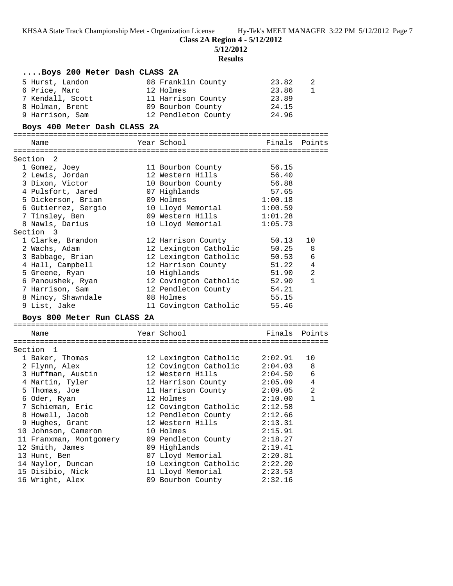**5/12/2012**

**Results**

| Boys 200 Meter Dash CLASS 2A |                                                                                                                |               |              |
|------------------------------|----------------------------------------------------------------------------------------------------------------|---------------|--------------|
| 5 Hurst, Landon              | 08 Franklin County                                                                                             | 23.82         | 2            |
| 6 Price, Marc                | 12 Holmes                                                                                                      | 23.86         | $\mathbf{1}$ |
| 7 Kendall, Scott             | 11 Harrison County                                                                                             | 23.89         |              |
| 8 Holman, Brent              | 09 Bourbon County                                                                                              | 24.15         |              |
| 9 Harrison, Sam              | 12 Pendleton County 24.96                                                                                      |               |              |
| Boys 400 Meter Dash CLASS 2A |                                                                                                                |               |              |
|                              |                                                                                                                |               |              |
| Name                         | Year School                                                                                                    | Finals Points |              |
| Section 2                    |                                                                                                                |               |              |
| 1 Gomez, Joey                | 11 Bourbon County                                                                                              | 56.15         |              |
| 2 Lewis, Jordan              | 12 Western Hills                                                                                               | 56.40         |              |
| 3 Dixon, Victor              | 10 Bourbon County                                                                                              | 56.88         |              |
| 4 Pulsfort, Jared            | 07 Highlands                                                                                                   | 57.65         |              |
| 5 Dickerson, Brian           | 09 Holmes                                                                                                      | 1:00.18       |              |
| 6 Gutierrez, Sergio          | 10 Lloyd Memorial                                                                                              | 1:00.59       |              |
| 7 Tinsley, Ben               | 09 Western Hills                                                                                               | 1:01.28       |              |
| 8 Nawls, Darius              | 10 Lloyd Memorial                                                                                              | 1:05.73       |              |
| Section 3                    |                                                                                                                |               |              |
| 1 Clarke, Brandon            | 12 Harrison County                                                                                             | 50.13         | 10           |
| 2 Wachs, Adam                | 12 Lexington Catholic 50.25                                                                                    |               | 8            |
| 3 Babbage, Brian             | 12 Lexington Catholic                                                                                          | $50.53$ 6     |              |
| 4 Hall, Campbell             | 12 Harrison County                                                                                             | 51.22 4       |              |
| 5 Greene, Ryan               | 10 Highlands                                                                                                   | 51.90         | 2            |
| 6 Panoushek, Ryan            | 12 Covington Catholic                                                                                          | 52.90         | $\mathbf{1}$ |
| 7 Harrison, Sam              | 12 Pendleton County                                                                                            | 54.21         |              |
| 8 Mincy, Shawndale           | 08 Holmes                                                                                                      | 55.15         |              |
| 9 List, Jake                 | 11 Covington Catholic                                                                                          | 55.46         |              |
| Boys 800 Meter Run CLASS 2A  |                                                                                                                |               |              |
| Name                         | Year School                                                                                                    | Finals Points |              |
|                              |                                                                                                                |               |              |
| Section 1                    |                                                                                                                |               |              |
| 1 Baker, Thomas              | 12 Lexington Catholic                                                                                          | 2:02.91       | 10           |
| 2 Flynn, Alex                | 12 Covington Catholic 2:04.03                                                                                  |               | -8           |
| 3 Huffman, Austin            | 12 Western Hills                                                                                               | 2:04.50       | 6            |
| 4 Martin, Tyler              | 12 Harrison County                                                                                             | $2:05.09$ 4   |              |
| 5 Thomas, Joe                | 11 Harrison County                                                                                             | 2:09.05       | 2            |
| 6 Oder, Ryan                 | 12 Holmes and the state of the state of the state of the state of the state of the state of the state of the s | 2:10.00       | $\mathbf 1$  |
| 7 Schieman, Eric             | 12 Covington Catholic                                                                                          | 2:12.58       |              |
| 8 Howell, Jacob              | 12 Pendleton County                                                                                            | 2:12.66       |              |
| 9 Hughes, Grant              | 12 Western Hills                                                                                               | 2:13.31       |              |
| 10 Johnson, Cameron          | 10 Holmes                                                                                                      | 2:15.91       |              |
| 11 Franxman, Montgomery      | 09 Pendleton County                                                                                            | 2:18.27       |              |
| 12 Smith, James              | 09 Highlands                                                                                                   | 2:19.41       |              |
| 13 Hunt, Ben                 | 07 Lloyd Memorial                                                                                              | 2:20.81       |              |
| 14 Naylor, Duncan            | 10 Lexington Catholic                                                                                          | 2:22.20       |              |
| 15 Disibio, Nick             | 11 Lloyd Memorial                                                                                              | 2:23.53       |              |
| 16 Wright, Alex              | 09 Bourbon County                                                                                              | 2:32.16       |              |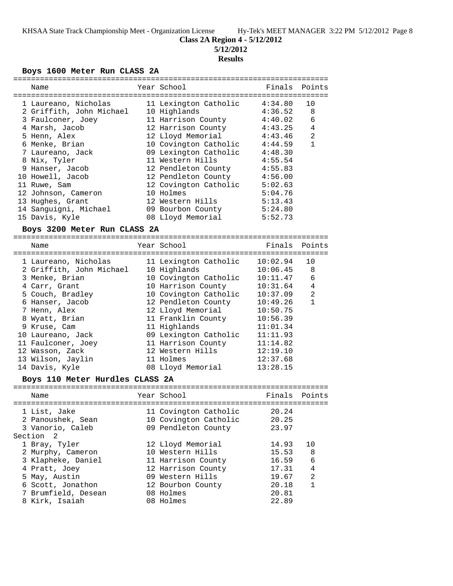**5/12/2012**

## **Results**

## **Boys 1600 Meter Run CLASS 2A**

| Name                            | Year School               |          | Finals Points  |
|---------------------------------|---------------------------|----------|----------------|
|                                 |                           |          |                |
| 1 Laureano, Nicholas            | 11 Lexington Catholic     | 4:34.80  | 10             |
| 2 Griffith, John Michael        | 10 Highlands              | 4:36.52  | 8              |
| 3 Faulconer, Joey               | 11 Harrison County        | 4:40.02  | 6              |
| 4 Marsh, Jacob                  | 12 Harrison County        | 4:43.25  | 4              |
| 5 Henn, Alex                    | 12 Lloyd Memorial         | 4:43.46  | $\overline{2}$ |
| 6 Menke, Brian                  | 10 Covington Catholic     | 4:44.59  | $\mathbf{1}$   |
| 7 Laureano, Jack                | 09 Lexington Catholic     | 4:48.30  |                |
| 8 Nix, Tyler                    | 11 Western Hills          | 4:55.54  |                |
| 9 Hanser, Jacob                 | 12 Pendleton County       | 4:55.83  |                |
| 10 Howell, Jacob                | 12 Pendleton County       | 4:56.00  |                |
| 11 Ruwe, Sam                    | 12 Covington Catholic     | 5:02.63  |                |
| 12 Johnson, Cameron             | 10 Holmes                 | 5:04.76  |                |
| 13 Hughes, Grant                | 12 Western Hills          | 5:13.43  |                |
| 14 Sanguigni, Michael           | 09 Bourbon County 5:24.80 |          |                |
| 15 Davis, Kyle                  | 08 Lloyd Memorial         | 5:52.73  |                |
| Boys 3200 Meter Run CLASS 2A    |                           |          |                |
|                                 |                           |          |                |
| Name                            | Year School               | Finals   | Points         |
|                                 |                           |          |                |
| 1 Laureano, Nicholas            | 11 Lexington Catholic     | 10:02.94 | 10             |
| 2 Griffith, John Michael        | 10 Highlands              | 10:06.45 | 8              |
| 3 Menke, Brian                  | 10 Covington Catholic     | 10:11.47 | 6              |
| 4 Carr, Grant                   | 10 Harrison County        | 10:31.64 | 4              |
| 5 Couch, Bradley                | 10 Covington Catholic     | 10:37.09 | 2              |
| 6 Hanser, Jacob                 | 12 Pendleton County       | 10:49.26 | $\mathbf{1}$   |
| 7 Henn, Alex                    | 12 Lloyd Memorial         | 10:50.75 |                |
| 8 Wyatt, Brian                  | 11 Franklin County        | 10:56.39 |                |
| 9 Kruse, Cam                    | 11 Highlands              | 11:01.34 |                |
| 10 Laureano, Jack               | 09 Lexington Catholic     | 11:11.93 |                |
| 11 Faulconer, Joey              | 11 Harrison County        | 11:14.82 |                |
| 12 Wasson, Zack                 | 12 Western Hills          | 12:19.10 |                |
| 13 Wilson, Jaylin               | 11 Holmes                 | 12:37.68 |                |
| 14 Davis, Kyle                  | 08 Lloyd Memorial         | 13:28.15 |                |
| Boys 110 Meter Hurdles CLASS 2A |                           |          |                |
|                                 |                           |          |                |
| Name                            | Year School               | Finals   | Points         |
| 1 List, Jake                    | 11 Covington Catholic     | 20.24    |                |
| 2 Panoushek, Sean               | 10 Covington Catholic     | 20.25    |                |
| 3 Vanorio, Caleb                | 09 Pendleton County       | 23.97    |                |
| Section<br>2                    |                           |          |                |
|                                 | 12 Lloyd Memorial         |          |                |
| 1 Bray, Tyler                   | 10 Western Hills          | 14.93    | 10             |
| 2 Murphy, Cameron               |                           | 15.53    | 8              |
| 3 Klapheke, Daniel              | 11 Harrison County        | 16.59    | 6              |
| 4 Pratt, Joey                   | 12 Harrison County        | 17.31    | 4              |
| 5 May, Austin                   | 09 Western Hills          | 19.67    | 2              |
| 6 Scott, Jonathon               | 12 Bourbon County         | 20.18    | 1              |
| 7 Brumfield, Desean             | 08 Holmes                 | 20.81    |                |
| 8 Kirk, Isaiah                  | 08 Holmes                 | 22.89    |                |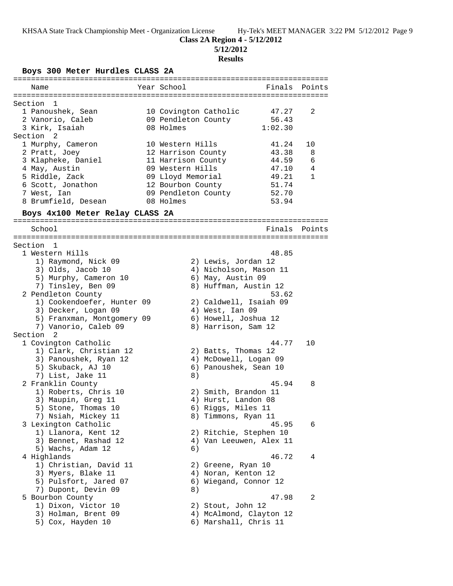# **Class 2A Region 4 - 5/12/2012**

**5/12/2012**

## **Results**

**Boys 300 Meter Hurdles CLASS 2A**

| Name                            | Year School                    | Finals Points |
|---------------------------------|--------------------------------|---------------|
|                                 |                                |               |
| Section<br>1                    |                                |               |
| 1 Panoushek, Sean               | 10 Covington Catholic<br>47.27 | 2             |
| 2 Vanorio, Caleb                | 09 Pendleton County<br>56.43   |               |
| 3 Kirk, Isaiah                  | 08 Holmes<br>1:02.30           |               |
| Section 2                       |                                |               |
| 1 Murphy, Cameron               | 10 Western Hills<br>41.24      | 10            |
| 2 Pratt, Joey                   | 12 Harrison County<br>43.38    | 8             |
| 3 Klapheke, Daniel              | 11 Harrison County<br>44.59    | 6             |
| 4 May, Austin                   | 09 Western Hills<br>47.10      | 4             |
| 5 Riddle, Zack                  | 09 Lloyd Memorial<br>49.21     | 1             |
| 6 Scott, Jonathon               | 51.74<br>12 Bourbon County     |               |
| 7 West, Ian                     | 09 Pendleton County<br>52.70   |               |
| 8 Brumfield, Desean             | 08 Holmes<br>53.94             |               |
|                                 |                                |               |
| Boys 4x100 Meter Relay CLASS 2A |                                |               |
| School                          | Finals                         | Points        |
|                                 |                                |               |
| Section<br>-1                   |                                |               |
| 1 Western Hills                 | 48.85                          |               |
| 1) Raymond, Nick 09             | 2) Lewis, Jordan 12            |               |
| 3) Olds, Jacob 10               | 4) Nicholson, Mason 11         |               |
| 5) Murphy, Cameron 10           | 6) May, Austin 09              |               |
| 7) Tinsley, Ben 09              | 8) Huffman, Austin 12          |               |
| 2 Pendleton County              | 53.62                          |               |
| 1) Cookendoefer, Hunter 09      | 2) Caldwell, Isaiah 09         |               |
| 3) Decker, Logan 09             | 4) West, Ian 09                |               |
| 5) Franxman, Montgomery 09      | 6) Howell, Joshua 12           |               |
| 7) Vanorio, Caleb 09            | 8) Harrison, Sam 12            |               |
| Section <sub>2</sub>            |                                |               |
| 1 Covington Catholic            | 44.77                          | 10            |
| 1) Clark, Christian 12          | 2) Batts, Thomas 12            |               |
| 3) Panoushek, Ryan 12           | 4) McDowell, Logan 09          |               |
| 5) Skuback, AJ 10               | 6) Panoushek, Sean 10          |               |
| 7) List, Jake 11                | 8)                             |               |
| 2 Franklin County               | 45.94                          | 8             |
| 1) Roberts, Chris 10            | 2) Smith, Brandon 11           |               |
| 3) Maupin, Greg 11              | 4) Hurst, Landon 08            |               |
| 5) Stone, Thomas 10             | 6) Riggs, Miles 11             |               |
| 7) Nsiah, Mickey 11             | 8) Timmons, Ryan 11            |               |
| 3 Lexington Catholic            | 45.95                          | 6             |
| 1) Llanora, Kent 12             | 2) Ritchie, Stephen 10         |               |
| 3) Bennet, Rashad 12            | 4) Van Leeuwen, Alex 11        |               |
| 5) Wachs, Adam 12               | 6)                             |               |
| 4 Highlands                     | 46.72                          | 4             |
| 1) Christian, David 11          | 2) Greene, Ryan 10             |               |
| 3) Myers, Blake 11              | 4) Noran, Kenton 12            |               |
| 5) Pulsfort, Jared 07           | 6) Wiegand, Connor 12          |               |
| 7) Dupont, Devin 09             | 8)                             |               |
| 5 Bourbon County                | 47.98                          | 2             |
| 1) Dixon, Victor 10             | 2) Stout, John 12              |               |
| 3) Holman, Brent 09             | 4) McAlmond, Clayton 12        |               |
| 5) Cox, Hayden 10               | 6) Marshall, Chris 11          |               |
|                                 |                                |               |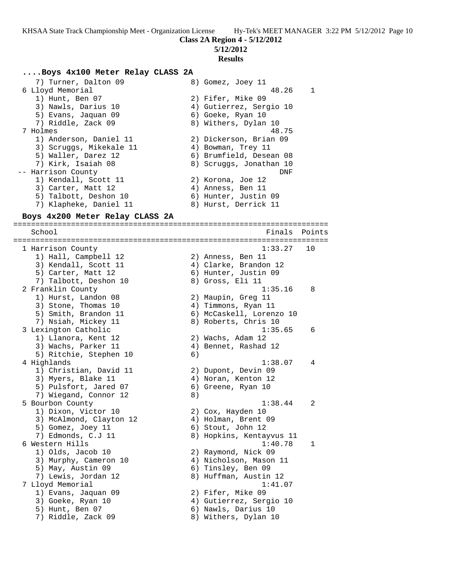**Class 2A Region 4 - 5/12/2012**

**5/12/2012**

#### **Results**

#### **....Boys 4x100 Meter Relay CLASS 2A**

7) Turner, Dalton 09 8) Gomez, Joey 11<br>6 Lloyd Memorial 6 Lloyd Memorial 48.26 1 1) Hunt, Ben 07 2) Fifer, Mike 09 3) Nawls, Darius 10 4) Gutierrez, Sergio 10 5) Evans, Jaquan 09 6) Goeke, Ryan 10 7) Riddle, Zack 09 8) Withers, Dylan 10 7 Holmes 48.75 1) Anderson, Daniel 11 2) Dickerson, Brian 09 3) Scruggs, Mikekale 11  $\hskip10mm 4$ ) Bowman, Trey 11 5) Waller, Darez 12 6) Brumfield, Desean 08 7) Kirk, Isaiah 08 8) Scruggs, Jonathan 10 -- Harrison County **DNF** 1) Kendall, Scott 11 and 2) Korona, Joe 12 3) Carter, Matt 12 (4) Anness, Ben 11 5) Talbott, Deshon 10 (6) Hunter, Justin 09 7) Klapheke, Daniel 11  $\hskip10mm$  8) Hurst, Derrick 11 **Boys 4x200 Meter Relay CLASS 2A** ======================================================================= School **Finals** Points **Points** Points **Points** Points **Points** Points **Points** Points **Points** Points **Points Points Points Points Points Points Points Points Points Points Points Points Points P** ======================================================================= 1 Harrison County 1:33.27 10 1) Hall, Campbell 12 2) Anness, Ben 11 3) Kendall, Scott 11 4) Clarke, Brandon 12 5) Carter, Matt 12 (6) Hunter, Justin 09 7) Talbott, Deshon 10 8) Gross, Eli 11 2 Franklin County 1:35.16 8 1) Hurst, Landon 08 2) Maupin, Greg 11 3) Stone, Thomas 10 (4) Timmons, Ryan 11 5) Smith, Brandon 11 (6) McCaskell, Lorenzo 10 7) Nsiah, Mickey 11 8) Roberts, Chris 10 3 Lexington Catholic 1:35.65 6 1) Llanora, Kent 12 2) Wachs, Adam 12 3) Wachs, Parker 11 (4) Bennet, Rashad 12 5) Ritchie, Stephen 10 (6) 4 Highlands 1:38.07 4 1) Christian, David 11 (2) Dupont, Devin 09 3) Myers, Blake 11 4) Noran, Kenton 12

- 5) Pulsfort, Jared 07 (6) Greene, Ryan 10 7) Wiegand, Connor 12 (8) 5 Bourbon County 1:38.44 2 1) Dixon, Victor 10 2) Cox, Hayden 10 3) McAlmond, Clayton 12 4) Holman, Brent 09 5) Gomez, Joey 11 6) Stout, John 12 7) Edmonds, C.J 11 8) Hopkins, Kentayvus 11 6 Western Hills 1:40.78 1 1) Olds, Jacob 10 2) Raymond, Nick 09 3) Murphy, Cameron 10 4) Nicholson, Mason 11 5) May, Austin 09 6) Tinsley, Ben 09 7) Lewis, Jordan 12 8) Huffman, Austin 12 7 Lloyd Memorial 1:41.07 1) Evans, Jaquan 09 2) Fifer, Mike 09
	-
- 5) Hunt, Ben 07 (6) Nawls, Darius 10
- 7) Riddle, Zack 09 8) Withers, Dylan 10
- 
- 3) Goeke, Ryan 10 4) Gutierrez, Sergio 10
	-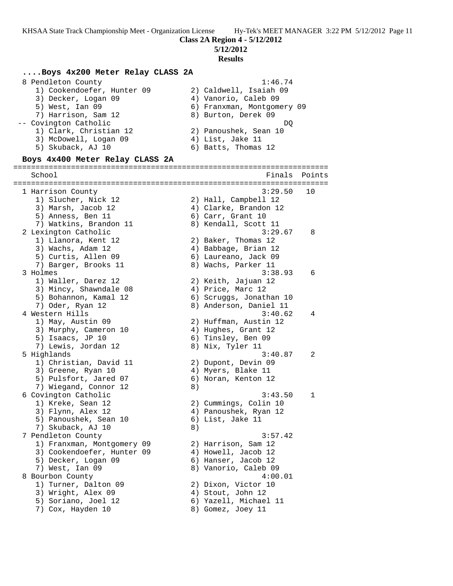**5/12/2012**

#### **Results**

#### **....Boys 4x200 Meter Relay CLASS 2A**

| 8 Pendleton County         | 1:46.74                    |
|----------------------------|----------------------------|
| 1) Cookendoefer, Hunter 09 | 2) Caldwell, Isaiah 09     |
| 3) Decker, Logan 09        | 4) Vanorio, Caleb 09       |
| 5) West, Ian 09            | 6) Franxman, Montgomery 09 |
| 7) Harrison, Sam 12        | 8) Burton, Derek 09        |
| -- Covington Catholic      | DO                         |
| 1) Clark, Christian 12     | 2) Panoushek, Sean 10      |
| 3) McDowell, Logan 09      | 4) List, Jake 11           |
| 5) Skuback, AJ 10          | 6) Batts, Thomas 12        |

#### **Boys 4x400 Meter Relay CLASS 2A**

======================================================================= School **Finals** Points ======================================================================= 1 Harrison County 3:29.50 10 1) Slucher, Nick 12 2) Hall, Campbell 12 3) Marsh, Jacob 12 4) Clarke, Brandon 12 5) Anness, Ben 11 6) Carr, Grant 10 7) Watkins, Brandon 11 and 8) Kendall, Scott 11 2 Lexington Catholic 3:29.67 8 1) Llanora, Kent 12 2) Baker, Thomas 12 3) Wachs, Adam 12 4) Babbage, Brian 12 5) Curtis, Allen 09 6) Laureano, Jack 09 7) Barger, Brooks 11 and 8) Wachs, Parker 11 3 Holmes 3:38.93 6 1) Waller, Darez 12 2) Keith, Jajuan 12 3) Mincy, Shawndale 08 4) Price, Marc 12 5) Bohannon, Kamal 12 6) Scruggs, Jonathan 10 7) Oder, Ryan 12 8) Anderson, Daniel 11 4 Western Hills 3:40.62 4 1) May, Austin 09 2) Huffman, Austin 12 3) Murphy, Cameron 10 4) Hughes, Grant 12 5) Isaacs, JP 10 6) Tinsley, Ben 09 7) Lewis, Jordan 12 (8) Nix, Tyler 11 5 Highlands 3:40.87 2 1) Christian, David 11 2) Dupont, Devin 09 3) Greene, Ryan 10 (4) Myers, Blake 11 5) Pulsfort, Jared 07 (6) Noran, Kenton 12 7) Wiegand, Connor 12 (8) 6 Covington Catholic 3:43.50 1 1) Kreke, Sean 12 2) Cummings, Colin 10 3) Flynn, Alex 12 4) Panoushek, Ryan 12 5) Panoushek, Sean 10 (6) List, Jake 11 7) Skuback, AJ 10 8) 7 Pendleton County 3:57.42 1) Franxman, Montgomery 09 2) Harrison, Sam 12 3) Cookendoefer, Hunter 09 4) Howell, Jacob 12 5) Decker, Logan 09 (6) Hanser, Jacob 12 7) West, Ian 09 8) Vanorio, Caleb 09 8 Bourbon County 4:00.01 1) Turner, Dalton 09 2) Dixon, Victor 10 3) Wright, Alex 09 4) Stout, John 12 5) Soriano, Joel 12 6) Yazell, Michael 11 7) Cox, Hayden 10 8) Gomez, Joey 11